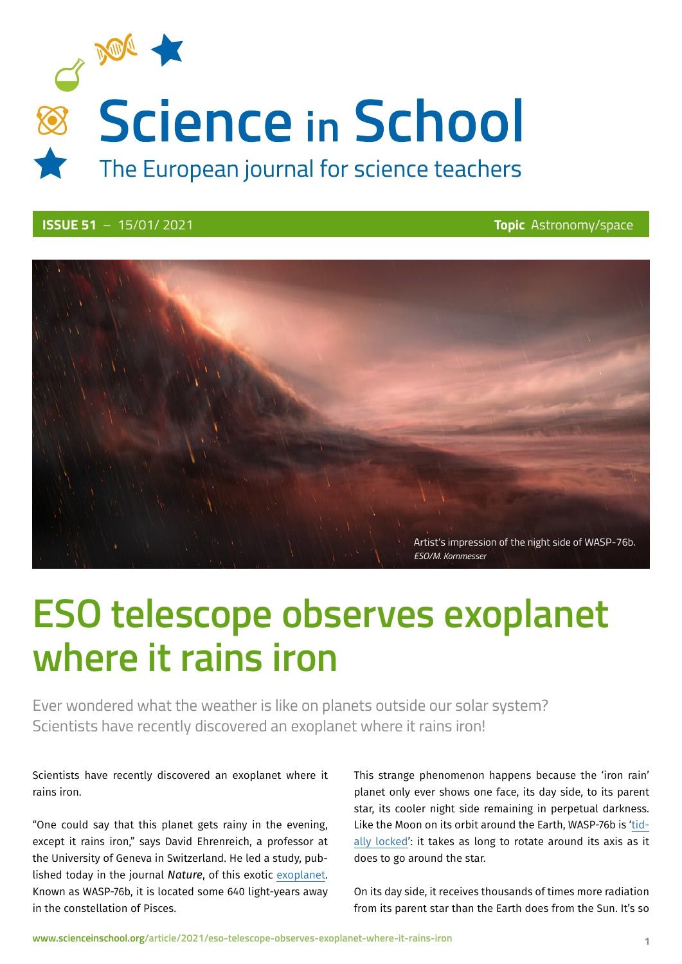

### **ISSUE 51** – 15/01/ 2021 **Topic** Astronomy/space



# **ESO telescope observes exoplanet where it rains iron**

Ever wondered what the weather is like on planets outside our solar system? Scientists have recently discovered an exoplanet where it rains iron!

#### Scientists have recently discovered an exoplanet where it rains iron.

"One could say that this planet gets rainy in the evening, except it rains iron," says David Ehrenreich, a professor at the University of Geneva in Switzerland. He led a study, published today in the journal *Nature*, of this exotic [exoplanet](https://en.wikipedia.org/wiki/Exoplanet). Known as WASP-76b, it is located some 640 light-years away in the constellation of Pisces.

This strange phenomenon happens because the 'iron rain' planet only ever shows one face, its day side, to its parent star, its cooler night side remaining in perpetual darkness. Like the Moon on its orbit around the Earth, WASP-76b is '[tid](https://en.wikipedia.org/wiki/Tidal_locking)[ally locked](https://en.wikipedia.org/wiki/Tidal_locking)': it takes as long to rotate around its axis as it does to go around the star.

On its day side, it receives thousands of times more radiation from its parent star than the Earth does from the Sun. It's so